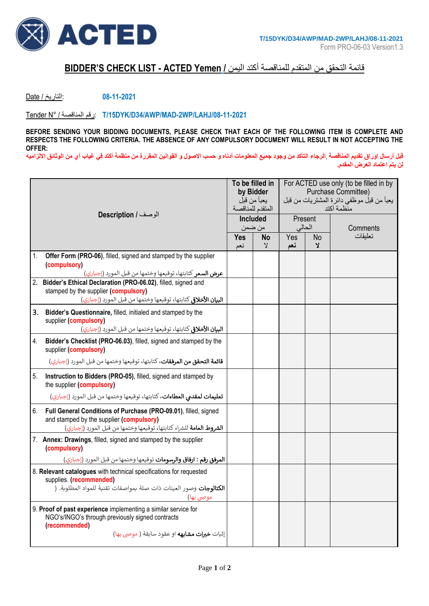

## قائمة التحقق من المتقدم للمناقصة أكتد اليمن **/ Yemen ACTED - LIST CHECK S'BIDDER**

**08-11-2021** :التاريخ / Date

Tender N° / المناقصة رقم: **T/15DYK/D34/AWP/MAD-2WP/LAHJ/08-11-2021**

**BEFORE SENDING YOUR BIDDING DOCUMENTS, PLEASE CHECK THAT EACH OF THE FOLLOWING ITEM IS COMPLETE AND RESPECTS THE FOLLOWING CRITERIA. THE ABSENCE OF ANY COMPULSORY DOCUMENT WILL RESULT IN NOT ACCEPTING THE OFFER:**

**قبل أرسال اوراق تقديم المناقصة** ,**الرجاء التأكد من وجود جميع المعلومات أدناه و حسب االصول و القوانين المقررة من منظمة آكتد في غياب أي من الوثائق االلزاميه لن يتم اعتماد العرض المقدم.** 

| الوصف / Description                                                                                                                                                                        |                                                                                                                                                                                        | To be filled in<br>by Bidder<br>يعبأ من قبل<br>المتقدم للمناقصة<br>Included |              | For ACTED use only (to be filled in by<br>Purchase Committee)<br>يعبأ من قبل موظفي دائرة المشتريات من قبل<br>منظمة آكتد |   |                     |  |
|--------------------------------------------------------------------------------------------------------------------------------------------------------------------------------------------|----------------------------------------------------------------------------------------------------------------------------------------------------------------------------------------|-----------------------------------------------------------------------------|--------------|-------------------------------------------------------------------------------------------------------------------------|---|---------------------|--|
|                                                                                                                                                                                            |                                                                                                                                                                                        |                                                                             |              | Present<br>الحالى                                                                                                       |   |                     |  |
|                                                                                                                                                                                            |                                                                                                                                                                                        | من ضمن<br><b>Yes</b><br>No                                                  |              | Yes<br><b>No</b>                                                                                                        |   | Comments<br>تعليقات |  |
|                                                                                                                                                                                            |                                                                                                                                                                                        | نعم                                                                         | $\mathsf{Y}$ | نعم                                                                                                                     | צ |                     |  |
| 1.                                                                                                                                                                                         | Offer Form (PRO-06), filled, signed and stamped by the supplier<br>(compulsory)<br><b>عرض السعر</b> كتابتها، توقيعها وختمها من قبل المورد (إجباري)                                     |                                                                             |              |                                                                                                                         |   |                     |  |
| 2.                                                                                                                                                                                         | Bidder's Ethical Declaration (PRO-06.02), filled, signed and                                                                                                                           |                                                                             |              |                                                                                                                         |   |                     |  |
|                                                                                                                                                                                            | stamped by the supplier (compulsory)                                                                                                                                                   |                                                                             |              |                                                                                                                         |   |                     |  |
|                                                                                                                                                                                            | <b>البيان الأخلاق</b> كتابتها، توقيعها وختمها من قبل المورد (إجباري)                                                                                                                   |                                                                             |              |                                                                                                                         |   |                     |  |
|                                                                                                                                                                                            | 3. Bidder's Questionnaire, filled, initialed and stamped by the<br>supplier (compulsory)<br><b>البيان الأخلاق</b> ي كتابتها، توقيعها وختمها من قبل المورد (إجباري)                     |                                                                             |              |                                                                                                                         |   |                     |  |
| 4.                                                                                                                                                                                         | Bidder's Checklist (PRO-06.03), filled, signed and stamped by the<br>supplier (compulsory)                                                                                             |                                                                             |              |                                                                                                                         |   |                     |  |
|                                                                                                                                                                                            | <b>قائمة التحقق من المرفقات</b> ، كتابتها، توقيعها وختمها من قبل المورد (إجباري)                                                                                                       |                                                                             |              |                                                                                                                         |   |                     |  |
| 5.                                                                                                                                                                                         | Instruction to Bidders (PRO-05), filled, signed and stamped by<br>the supplier (compulsory)                                                                                            |                                                                             |              |                                                                                                                         |   |                     |  |
|                                                                                                                                                                                            | <b>تعليمات لمقدمي العطاءات</b> ، كتابتها، توقيعها وختمها من قبل المورد (إجباري)                                                                                                        |                                                                             |              |                                                                                                                         |   |                     |  |
| 6.                                                                                                                                                                                         | Full General Conditions of Purchase (PRO-09.01), filled, signed<br>and stamped by the supplier (compulsory)<br>الشروط العامة للشراء كتابتها، توقيعها وختمها من قبل المورد (إجباري)     |                                                                             |              |                                                                                                                         |   |                     |  |
|                                                                                                                                                                                            | 7. Annex: Drawings, filled, signed and stamped by the supplier<br>(compulsory)                                                                                                         |                                                                             |              |                                                                                                                         |   |                     |  |
|                                                                                                                                                                                            | <b>المرفق رقم : ارفاق والرسومات</b> توقيعها وختمها من قبل المورد (إجباري)                                                                                                              |                                                                             |              |                                                                                                                         |   |                     |  |
|                                                                                                                                                                                            | 8. Relevant catalogues with technical specifications for requested<br>supplies. (recommended)<br><b>الكتالوجات</b> وصور العينات ذات صلة بمواصفات تقنية للمواد المطلوبة. (<br>موصى بها) |                                                                             |              |                                                                                                                         |   |                     |  |
| 9. Proof of past experience implementing a similar service for<br>NGO's/INGO's through previously signed contracts<br>(recommended)<br>إثبات <b>خبرات مشابهه</b> او عقود سابقة ( موصى بها) |                                                                                                                                                                                        |                                                                             |              |                                                                                                                         |   |                     |  |